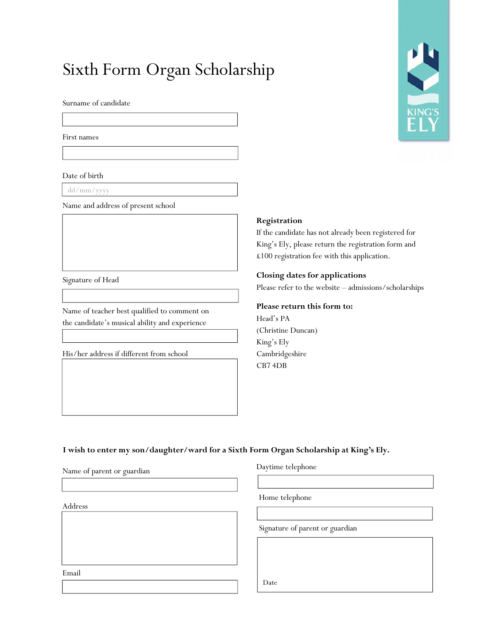# Sixth Form Organ Scholarship

Surname of candidate

First names

Date of birth

dd/mm/yyyy

Name and address of present school

Signature of Head

Name of teacher best qualified to comment on the candidate's musical ability and experience

His/her address if different from school



#### **Registration**

If the candidate has not already been registered for King's Ely, please return the registration form and £100 registration fee with this application.

#### **Closing dates for applications**

Please refer to the website – admissions/scholarships

**Please return this form to:** Head's PA (Christine Duncan) King's Ely Cambridgeshire CB7 4DB

**I wish to enter my son/daughter/ward for a Sixth Form Organ Scholarship at King's Ely.**

Name of parent or guardian

Address

#### Daytime telephone

Home telephone

Signature of parent or guardian

Email

Date